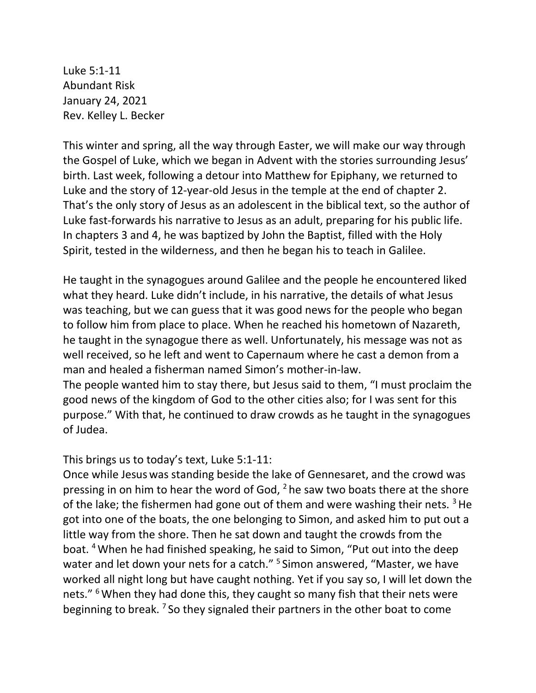Luke 5:1-11 Abundant Risk January 24, 2021 Rev. Kelley L. Becker

This winter and spring, all the way through Easter, we will make our way through the Gospel of Luke, which we began in Advent with the stories surrounding Jesus' birth. Last week, following a detour into Matthew for Epiphany, we returned to Luke and the story of 12-year-old Jesus in the temple at the end of chapter 2. That's the only story of Jesus as an adolescent in the biblical text, so the author of Luke fast-forwards his narrative to Jesus as an adult, preparing for his public life. In chapters 3 and 4, he was baptized by John the Baptist, filled with the Holy Spirit, tested in the wilderness, and then he began his to teach in Galilee.

He taught in the synagogues around Galilee and the people he encountered liked what they heard. Luke didn't include, in his narrative, the details of what Jesus was teaching, but we can guess that it was good news for the people who began to follow him from place to place. When he reached his hometown of Nazareth, he taught in the synagogue there as well. Unfortunately, his message was not as well received, so he left and went to Capernaum where he cast a demon from a man and healed a fisherman named Simon's mother-in-law.

The people wanted him to stay there, but Jesus said to them, "I must proclaim the good news of the kingdom of God to the other cities also; for I was sent for this purpose." With that, he continued to draw crowds as he taught in the synagogues of Judea.

This brings us to today's text, Luke 5:1-11:

Once while Jesus was standing beside the lake of Gennesaret, and the crowd was pressing in on him to hear the word of God,  $2$  he saw two boats there at the shore of the lake; the fishermen had gone out of them and were washing their nets.  $3$  He got into one of the boats, the one belonging to Simon, and asked him to put out a little way from the shore. Then he sat down and taught the crowds from the boat. <sup>4</sup>When he had finished speaking, he said to Simon, "Put out into the deep water and let down your nets for a catch." <sup>5</sup> Simon answered, "Master, we have worked all night long but have caught nothing. Yet if you say so, I will let down the nets." <sup>6</sup> When they had done this, they caught so many fish that their nets were beginning to break. <sup>7</sup> So they signaled their partners in the other boat to come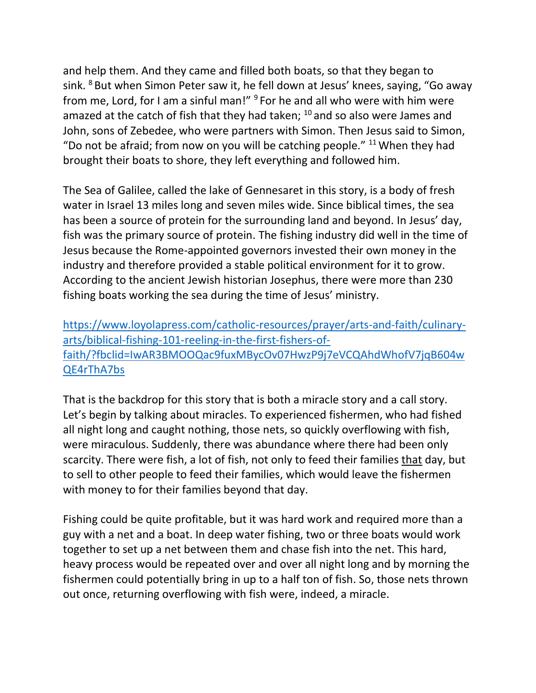and help them. And they came and filled both boats, so that they began to sink. <sup>8</sup> But when Simon Peter saw it, he fell down at Jesus' knees, saying, "Go away from me, Lord, for I am a sinful man!" <sup>9</sup> For he and all who were with him were amazed at the catch of fish that they had taken;  $10$  and so also were James and John, sons of Zebedee, who were partners with Simon. Then Jesus said to Simon, "Do not be afraid; from now on you will be catching people."  $11$  When they had brought their boats to shore, they left everything and followed him.

The Sea of Galilee, called the lake of Gennesaret in this story, is a body of fresh water in Israel 13 miles long and seven miles wide. Since biblical times, the sea has been a source of protein for the surrounding land and beyond. In Jesus' day, fish was the primary source of protein. The fishing industry did well in the time of Jesus because the Rome-appointed governors invested their own money in the industry and therefore provided a stable political environment for it to grow. According to the ancient Jewish historian Josephus, there were more than 230 fishing boats working the sea during the time of Jesus' ministry.

[https://www.loyolapress.com/catholic-resources/prayer/arts-and-faith/culinary](https://www.loyolapress.com/catholic-resources/prayer/arts-and-faith/culinary-arts/biblical-fishing-101-reeling-in-the-first-fishers-of-faith/?fbclid=IwAR3BMOOQac9fuxMBycOv07HwzP9j7eVCQAhdWhofV7jqB604wQE4rThA7bs)[arts/biblical-fishing-101-reeling-in-the-first-fishers-of](https://www.loyolapress.com/catholic-resources/prayer/arts-and-faith/culinary-arts/biblical-fishing-101-reeling-in-the-first-fishers-of-faith/?fbclid=IwAR3BMOOQac9fuxMBycOv07HwzP9j7eVCQAhdWhofV7jqB604wQE4rThA7bs)[faith/?fbclid=IwAR3BMOOQac9fuxMBycOv07HwzP9j7eVCQAhdWhofV7jqB604w](https://www.loyolapress.com/catholic-resources/prayer/arts-and-faith/culinary-arts/biblical-fishing-101-reeling-in-the-first-fishers-of-faith/?fbclid=IwAR3BMOOQac9fuxMBycOv07HwzP9j7eVCQAhdWhofV7jqB604wQE4rThA7bs) [QE4rThA7bs](https://www.loyolapress.com/catholic-resources/prayer/arts-and-faith/culinary-arts/biblical-fishing-101-reeling-in-the-first-fishers-of-faith/?fbclid=IwAR3BMOOQac9fuxMBycOv07HwzP9j7eVCQAhdWhofV7jqB604wQE4rThA7bs)

That is the backdrop for this story that is both a miracle story and a call story. Let's begin by talking about miracles. To experienced fishermen, who had fished all night long and caught nothing, those nets, so quickly overflowing with fish, were miraculous. Suddenly, there was abundance where there had been only scarcity. There were fish, a lot of fish, not only to feed their families that day, but to sell to other people to feed their families, which would leave the fishermen with money to for their families beyond that day.

Fishing could be quite profitable, but it was hard work and required more than a guy with a net and a boat. In deep water fishing, two or three boats would work together to set up a net between them and chase fish into the net. This hard, heavy process would be repeated over and over all night long and by morning the fishermen could potentially bring in up to a half ton of fish. So, those nets thrown out once, returning overflowing with fish were, indeed, a miracle.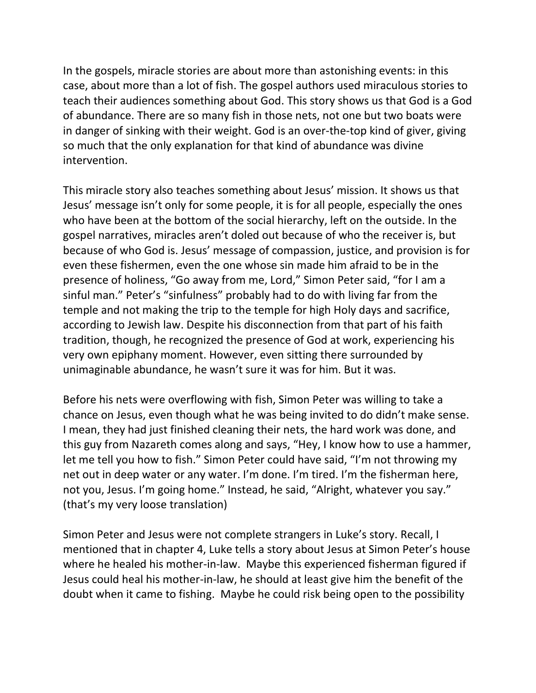In the gospels, miracle stories are about more than astonishing events: in this case, about more than a lot of fish. The gospel authors used miraculous stories to teach their audiences something about God. This story shows us that God is a God of abundance. There are so many fish in those nets, not one but two boats were in danger of sinking with their weight. God is an over-the-top kind of giver, giving so much that the only explanation for that kind of abundance was divine intervention.

This miracle story also teaches something about Jesus' mission. It shows us that Jesus' message isn't only for some people, it is for all people, especially the ones who have been at the bottom of the social hierarchy, left on the outside. In the gospel narratives, miracles aren't doled out because of who the receiver is, but because of who God is. Jesus' message of compassion, justice, and provision is for even these fishermen, even the one whose sin made him afraid to be in the presence of holiness, "Go away from me, Lord," Simon Peter said, "for I am a sinful man." Peter's "sinfulness" probably had to do with living far from the temple and not making the trip to the temple for high Holy days and sacrifice, according to Jewish law. Despite his disconnection from that part of his faith tradition, though, he recognized the presence of God at work, experiencing his very own epiphany moment. However, even sitting there surrounded by unimaginable abundance, he wasn't sure it was for him. But it was.

Before his nets were overflowing with fish, Simon Peter was willing to take a chance on Jesus, even though what he was being invited to do didn't make sense. I mean, they had just finished cleaning their nets, the hard work was done, and this guy from Nazareth comes along and says, "Hey, I know how to use a hammer, let me tell you how to fish." Simon Peter could have said, "I'm not throwing my net out in deep water or any water. I'm done. I'm tired. I'm the fisherman here, not you, Jesus. I'm going home." Instead, he said, "Alright, whatever you say." (that's my very loose translation)

Simon Peter and Jesus were not complete strangers in Luke's story. Recall, I mentioned that in chapter 4, Luke tells a story about Jesus at Simon Peter's house where he healed his mother-in-law. Maybe this experienced fisherman figured if Jesus could heal his mother-in-law, he should at least give him the benefit of the doubt when it came to fishing. Maybe he could risk being open to the possibility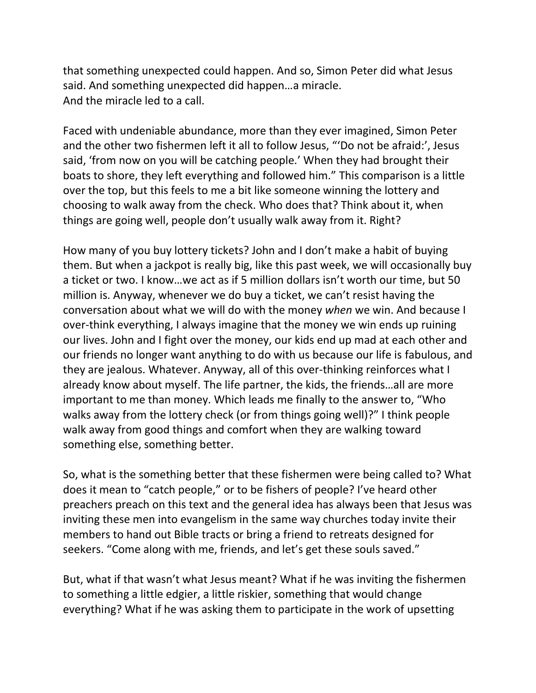that something unexpected could happen. And so, Simon Peter did what Jesus said. And something unexpected did happen…a miracle. And the miracle led to a call.

Faced with undeniable abundance, more than they ever imagined, Simon Peter and the other two fishermen left it all to follow Jesus, "'Do not be afraid:', Jesus said, 'from now on you will be catching people.' When they had brought their boats to shore, they left everything and followed him." This comparison is a little over the top, but this feels to me a bit like someone winning the lottery and choosing to walk away from the check. Who does that? Think about it, when things are going well, people don't usually walk away from it. Right?

How many of you buy lottery tickets? John and I don't make a habit of buying them. But when a jackpot is really big, like this past week, we will occasionally buy a ticket or two. I know…we act as if 5 million dollars isn't worth our time, but 50 million is. Anyway, whenever we do buy a ticket, we can't resist having the conversation about what we will do with the money *when* we win. And because I over-think everything, I always imagine that the money we win ends up ruining our lives. John and I fight over the money, our kids end up mad at each other and our friends no longer want anything to do with us because our life is fabulous, and they are jealous. Whatever. Anyway, all of this over-thinking reinforces what I already know about myself. The life partner, the kids, the friends…all are more important to me than money. Which leads me finally to the answer to, "Who walks away from the lottery check (or from things going well)?" I think people walk away from good things and comfort when they are walking toward something else, something better.

So, what is the something better that these fishermen were being called to? What does it mean to "catch people," or to be fishers of people? I've heard other preachers preach on this text and the general idea has always been that Jesus was inviting these men into evangelism in the same way churches today invite their members to hand out Bible tracts or bring a friend to retreats designed for seekers. "Come along with me, friends, and let's get these souls saved."

But, what if that wasn't what Jesus meant? What if he was inviting the fishermen to something a little edgier, a little riskier, something that would change everything? What if he was asking them to participate in the work of upsetting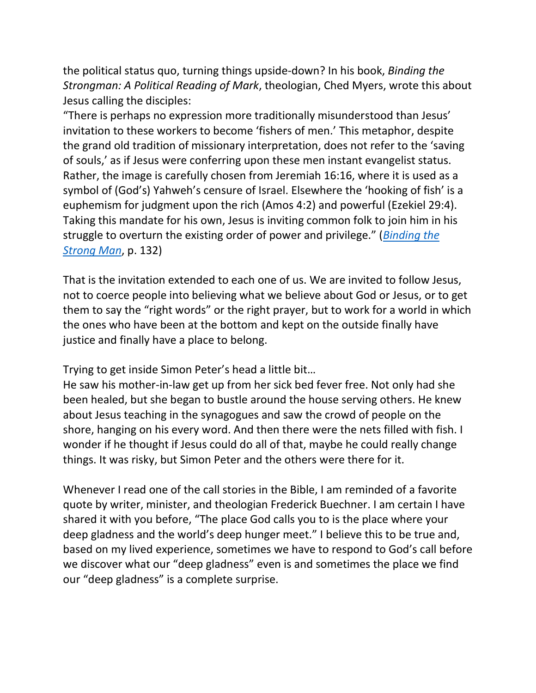the political status quo, turning things upside-down? In his book, *Binding the Strongman: A Political Reading of Mark*, theologian, Ched Myers, wrote this about Jesus calling the disciples:

"There is perhaps no expression more traditionally misunderstood than Jesus' invitation to these workers to become 'fishers of men.' This metaphor, despite the grand old tradition of missionary interpretation, does not refer to the 'saving of souls,' as if Jesus were conferring upon these men instant evangelist status. Rather, the image is carefully chosen from Jeremiah 16:16, where it is used as a symbol of (God's) Yahweh's censure of Israel. Elsewhere the 'hooking of fish' is a euphemism for judgment upon the rich (Amos 4:2) and powerful (Ezekiel 29:4). Taking this mandate for his own, Jesus is inviting common folk to join him in his struggle to overturn the existing order of power and privilege." (*[Binding the](https://amzn.to/38R0LWV)  [Strong Man](https://amzn.to/38R0LWV)*, p. 132)

That is the invitation extended to each one of us. We are invited to follow Jesus, not to coerce people into believing what we believe about God or Jesus, or to get them to say the "right words" or the right prayer, but to work for a world in which the ones who have been at the bottom and kept on the outside finally have justice and finally have a place to belong.

Trying to get inside Simon Peter's head a little bit…

He saw his mother-in-law get up from her sick bed fever free. Not only had she been healed, but she began to bustle around the house serving others. He knew about Jesus teaching in the synagogues and saw the crowd of people on the shore, hanging on his every word. And then there were the nets filled with fish. I wonder if he thought if Jesus could do all of that, maybe he could really change things. It was risky, but Simon Peter and the others were there for it.

Whenever I read one of the call stories in the Bible, I am reminded of a favorite quote by writer, minister, and theologian Frederick Buechner. I am certain I have shared it with you before, "The place God calls you to is the place where your deep gladness and the world's deep hunger meet." I believe this to be true and, based on my lived experience, sometimes we have to respond to God's call before we discover what our "deep gladness" even is and sometimes the place we find our "deep gladness" is a complete surprise.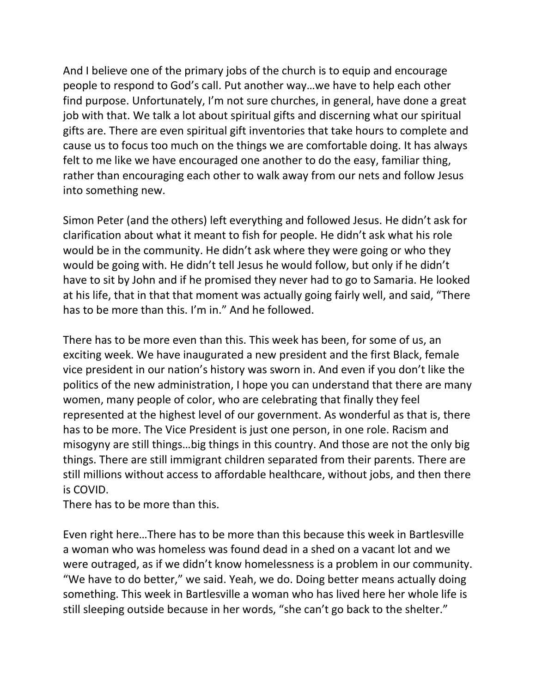And I believe one of the primary jobs of the church is to equip and encourage people to respond to God's call. Put another way…we have to help each other find purpose. Unfortunately, I'm not sure churches, in general, have done a great job with that. We talk a lot about spiritual gifts and discerning what our spiritual gifts are. There are even spiritual gift inventories that take hours to complete and cause us to focus too much on the things we are comfortable doing. It has always felt to me like we have encouraged one another to do the easy, familiar thing, rather than encouraging each other to walk away from our nets and follow Jesus into something new.

Simon Peter (and the others) left everything and followed Jesus. He didn't ask for clarification about what it meant to fish for people. He didn't ask what his role would be in the community. He didn't ask where they were going or who they would be going with. He didn't tell Jesus he would follow, but only if he didn't have to sit by John and if he promised they never had to go to Samaria. He looked at his life, that in that that moment was actually going fairly well, and said, "There has to be more than this. I'm in." And he followed.

There has to be more even than this. This week has been, for some of us, an exciting week. We have inaugurated a new president and the first Black, female vice president in our nation's history was sworn in. And even if you don't like the politics of the new administration, I hope you can understand that there are many women, many people of color, who are celebrating that finally they feel represented at the highest level of our government. As wonderful as that is, there has to be more. The Vice President is just one person, in one role. Racism and misogyny are still things…big things in this country. And those are not the only big things. There are still immigrant children separated from their parents. There are still millions without access to affordable healthcare, without jobs, and then there is COVID.

There has to be more than this.

Even right here…There has to be more than this because this week in Bartlesville a woman who was homeless was found dead in a shed on a vacant lot and we were outraged, as if we didn't know homelessness is a problem in our community. "We have to do better," we said. Yeah, we do. Doing better means actually doing something. This week in Bartlesville a woman who has lived here her whole life is still sleeping outside because in her words, "she can't go back to the shelter."